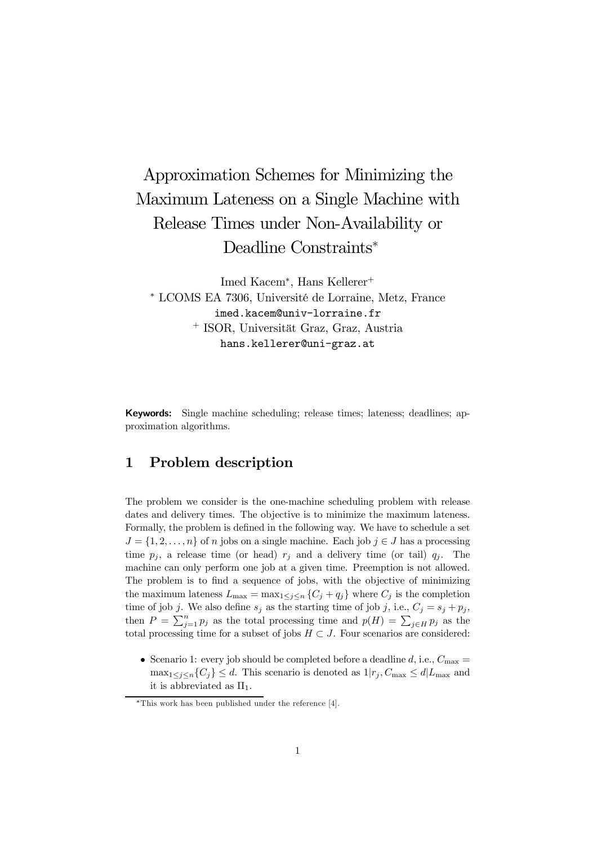# Approximation Schemes for Minimizing the Maximum Lateness on a Single Machine with Release Times under Non-Availability or Deadline Constraints<sup>∗</sup>

Imed Kacem<sup>∗</sup> , Hans Kellerer<sup>+</sup> <sup>∗</sup> LCOMS EA 7306, Université de Lorraine, Metz, France imed.kacem@univ-lorraine.fr <sup>+</sup> ISOR, Universität Graz, Graz, Austria hans.kellerer@uni-graz.at

Keywords: Single machine scheduling; release times; lateness; deadlines; approximation algorithms.

## 1 Problem description

The problem we consider is the one-machine scheduling problem with release dates and delivery times. The objective is to minimize the maximum lateness. Formally, the problem is defined in the following way. We have to schedule a set  $J = \{1, 2, \ldots, n\}$  of n jobs on a single machine. Each job  $j \in J$  has a processing time  $p_i$ , a release time (or head)  $r_i$  and a delivery time (or tail)  $q_i$ . The machine can only perform one job at a given time. Preemption is not allowed. The problem is to find a sequence of jobs, with the objective of minimizing the maximum lateness  $L_{\text{max}} = \max_{1 \leq j \leq n} \{C_j + q_j\}$  where  $C_j$  is the completion time of job j. We also define  $s_j$  as the starting time of job j, i.e.,  $C_j = s_j + p_j$ , then  $P = \sum_{j=1}^{n} p_j$  as the total processing time and  $p(H) = \sum_{j \in H} p_j$  as the total processing time for a subset of jobs  $H \subset J$ . Four scenarios are considered:

• Scenario 1: every job should be completed before a deadline  $d$ , i.e.,  $C_{\text{max}} =$  $\max_{1 \leq j \leq n} \{C_j\} \leq d$ . This scenario is denoted as  $1|r_j, C_{\max} \leq d|L_{\max}$  and it is abbreviated as  $\Pi_1$ .

<sup>∗</sup>This work has been published under the reference [4].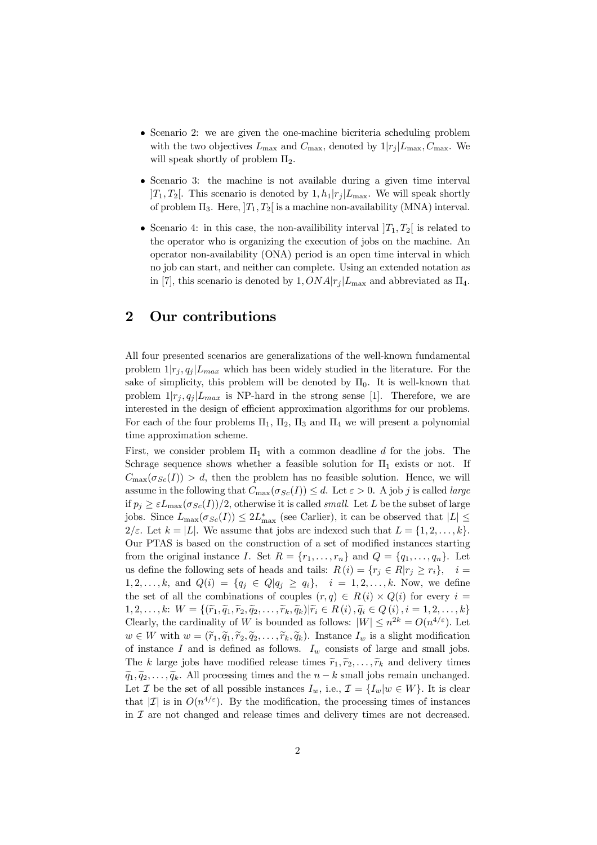- Scenario 2: we are given the one-machine bicriteria scheduling problem with the two objectives  $L_{\text{max}}$  and  $C_{\text{max}}$ , denoted by  $1|r_j|L_{\text{max}}$ ,  $C_{\text{max}}$ . We will speak shortly of problem  $\Pi_2$ .
- Scenario 3: the machine is not available during a given time interval  $[T_1, T_2]$ . This scenario is denoted by  $1, h_1|r_i|L_{\text{max}}$ . We will speak shortly of problem  $\Pi_3$ . Here,  $|T_1, T_2|$  is a machine non-availability (MNA) interval.
- Scenario 4: in this case, the non-availibility interval  $[T_1, T_2]$  is related to the operator who is organizing the execution of jobs on the machine. An operator non-availability (ONA) period is an open time interval in which no job can start, and neither can complete. Using an extended notation as in [7], this scenario is denoted by  $1, ONA|r_i|L_{\text{max}}$  and abbreviated as  $\Pi_4$ .

### 2 Our contributions

All four presented scenarios are generalizations of the well-known fundamental problem  $1|r_i, q_i|L_{max}$  which has been widely studied in the literature. For the sake of simplicity, this problem will be denoted by  $\Pi_0$ . It is well-known that problem  $1|r_j, q_j|L_{max}$  is NP-hard in the strong sense [1]. Therefore, we are interested in the design of efficient approximation algorithms for our problems. For each of the four problems  $\Pi_1$ ,  $\Pi_2$ ,  $\Pi_3$  and  $\Pi_4$  we will present a polynomial time approximation scheme.

First, we consider problem  $\Pi_1$  with a common deadline d for the jobs. The Schrage sequence shows whether a feasible solution for  $\Pi_1$  exists or not. If  $C_{\text{max}}(\sigma_{Sc}(I)) > d$ , then the problem has no feasible solution. Hence, we will assume in the following that  $C_{\text{max}}(\sigma_{Sc}(I)) \leq d$ . Let  $\varepsilon > 0$ . A job j is called *large* if  $p_i \geq \varepsilon L_{\text{max}}(\sigma_{Sc}(I))/2$ , otherwise it is called *small*. Let L be the subset of large jobs. Since  $L_{\text{max}}(\sigma_{Sc}(I)) \leq 2L_{\text{max}}^*$  (see Carlier), it can be observed that  $|L| \leq$  $2/\varepsilon$ . Let  $k = |L|$ . We assume that jobs are indexed such that  $L = \{1, 2, \ldots, k\}$ . Our PTAS is based on the construction of a set of modified instances starting from the original instance I. Set  $R = \{r_1, \ldots, r_n\}$  and  $Q = \{q_1, \ldots, q_n\}$ . Let us define the following sets of heads and tails:  $R(i) = \{r_j \in R | r_j \geq r_i\}, i =$  $1, 2, \ldots, k$ , and  $Q(i) = \{q_j \in Q | q_j \ge q_i\}, i = 1, 2, \ldots, k$ . Now, we define the set of all the combinations of couples  $(r, q) \in R(i) \times Q(i)$  for every  $i =$  $1, 2, \ldots, k: \ W = \{(\widetilde{r}_1, \widetilde{q}_1, \widetilde{r}_2, \widetilde{q}_2, \ldots, \widetilde{r}_k, \widetilde{q}_k)|\widetilde{r}_i \in R(i), \widetilde{q}_i \in Q(i), i = 1, 2, \ldots, k\}$ Clearly, the cardinality of W is bounded as follows:  $|W| \leq n^{2k} = O(n^{4/\varepsilon})$ . Let  $w \in W$  with  $w = (\tilde{r}_1, \tilde{q}_1, \tilde{r}_2, \tilde{q}_2, \dots, \tilde{r}_k, \tilde{q}_k)$ . Instance  $I_w$  is a slight modification of instance  $I$  and is defined as follows.  $I_w$  consists of large and small jobs. The k large jobs have modified release times  $\tilde{r}_1, \tilde{r}_2, \ldots, \tilde{r}_k$  and delivery times  $\tilde{q}_1, \tilde{q}_2, \ldots, \tilde{q}_k$ . All processing times and the  $n - k$  small jobs remain unchanged. Let *I* be the set of all possible instances  $I_w$ , i.e.,  $\mathcal{I} = \{I_w | w \in W\}$ . It is clear that  $|\mathcal{I}|$  is in  $O(n^{4/\varepsilon})$ . By the modification, the processing times of instances in  $\mathcal I$  are not changed and release times and delivery times are not decreased.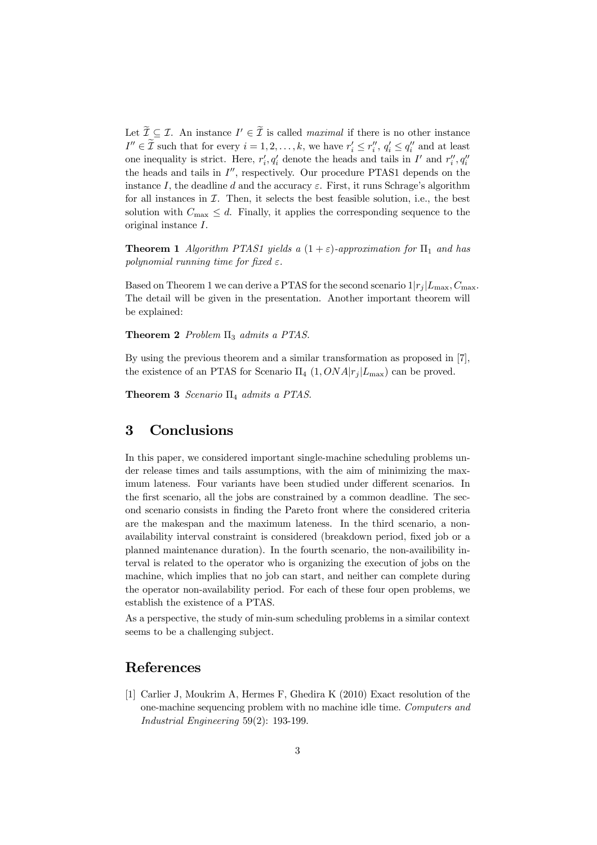Let  $\mathcal{I} \subseteq \mathcal{I}$ . An instance  $I' \in \mathcal{I}$  is called *maximal* if there is no other instance  $I'' \in \tilde{\mathcal{I}}$  such that for every  $i = 1, 2, ..., k$ , we have  $r'_i \leq r''_i, q'_i \leq q''_i$  and at least one inequality is strict. Here,  $r'_{i}$ ,  $q'_{i}$  denote the heads and tails in  $I'$  and  $r''_{i}$ ,  $q''_{i}$ the heads and tails in  $I''$ , respectively. Our procedure PTAS1 depends on the instance I, the deadline d and the accuracy  $\varepsilon$ . First, it runs Schrage's algorithm for all instances in  $I$ . Then, it selects the best feasible solution, i.e., the best solution with  $C_{\text{max}} \leq d$ . Finally, it applies the corresponding sequence to the original instance I.

**Theorem 1** *Algorithm PTAS1 yields a*  $(1 + \varepsilon)$ -approximation for  $\Pi_1$  and has *polynomial running time for fixed*  $\varepsilon$ *.* 

Based on Theorem 1 we can derive a PTAS for the second scenario  $1|r_i|L_{\text{max}}$ ,  $C_{\text{max}}$ . The detail will be given in the presentation. Another important theorem will be explained:

Theorem 2 *Problem* Π<sub>3</sub> *admits a PTAS*.

By using the previous theorem and a similar transformation as proposed in [7], the existence of an PTAS for Scenario  $\Pi_4$  (1,  $ONA|r_i|L_{\text{max}}$ ) can be proved.

Theorem 3 *Scenario* Π<sup>4</sup> *admits a PTAS.*

#### 3 Conclusions

In this paper, we considered important single-machine scheduling problems under release times and tails assumptions, with the aim of minimizing the maximum lateness. Four variants have been studied under different scenarios. In the first scenario, all the jobs are constrained by a common deadline. The second scenario consists in finding the Pareto front where the considered criteria are the makespan and the maximum lateness. In the third scenario, a nonavailability interval constraint is considered (breakdown period, fixed job or a planned maintenance duration). In the fourth scenario, the non-availibility interval is related to the operator who is organizing the execution of jobs on the machine, which implies that no job can start, and neither can complete during the operator non-availability period. For each of these four open problems, we establish the existence of a PTAS.

As a perspective, the study of min-sum scheduling problems in a similar context seems to be a challenging subject.

## References

[1] Carlier J, Moukrim A, Hermes F, Ghedira K (2010) Exact resolution of the one-machine sequencing problem with no machine idle time. *Computers and Industrial Engineering* 59(2): 193-199.